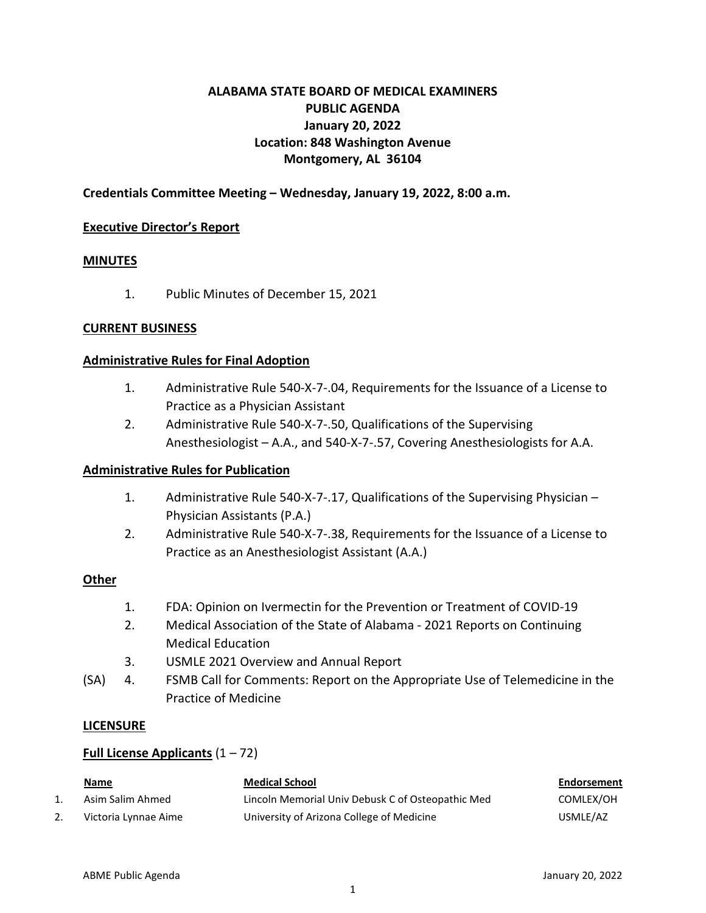# **ALABAMA STATE BOARD OF MEDICAL EXAMINERS PUBLIC AGENDA January 20, 2022 Location: 848 Washington Avenue Montgomery, AL 36104**

# **Credentials Committee Meeting – Wednesday, January 19, 2022, 8:00 a.m.**

### **Executive Director's Report**

#### **MINUTES**

1. Public Minutes of December 15, 2021

#### **CURRENT BUSINESS**

#### **Administrative Rules for Final Adoption**

- 1. Administrative Rule 540-X-7-.04, Requirements for the Issuance of a License to Practice as a Physician Assistant
- 2. Administrative Rule 540-X-7-.50, Qualifications of the Supervising Anesthesiologist – A.A., and 540-X-7-.57, Covering Anesthesiologists for A.A.

### **Administrative Rules for Publication**

- 1. Administrative Rule 540-X-7-.17, Qualifications of the Supervising Physician Physician Assistants (P.A.)
- 2. Administrative Rule 540-X-7-.38, Requirements for the Issuance of a License to Practice as an Anesthesiologist Assistant (A.A.)

### **Other**

- 1. FDA: Opinion on Ivermectin for the Prevention or Treatment of COVID-19
- 2. Medical Association of the State of Alabama 2021 Reports on Continuing Medical Education
- 3. USMLE 2021 Overview and Annual Report
- (SA) 4. FSMB Call for Comments: Report on the Appropriate Use of Telemedicine in the Practice of Medicine

#### **LICENSURE**

### **Full License Applicants** (1 – 72)

|    | Name                 | <b>Medical School</b>                             | Endorsement |
|----|----------------------|---------------------------------------------------|-------------|
|    | Asim Salim Ahmed     | Lincoln Memorial Univ Debusk C of Osteopathic Med | COMLEX/OH   |
| z. | Victoria Lynnae Aime | University of Arizona College of Medicine         | USMLE/AZ    |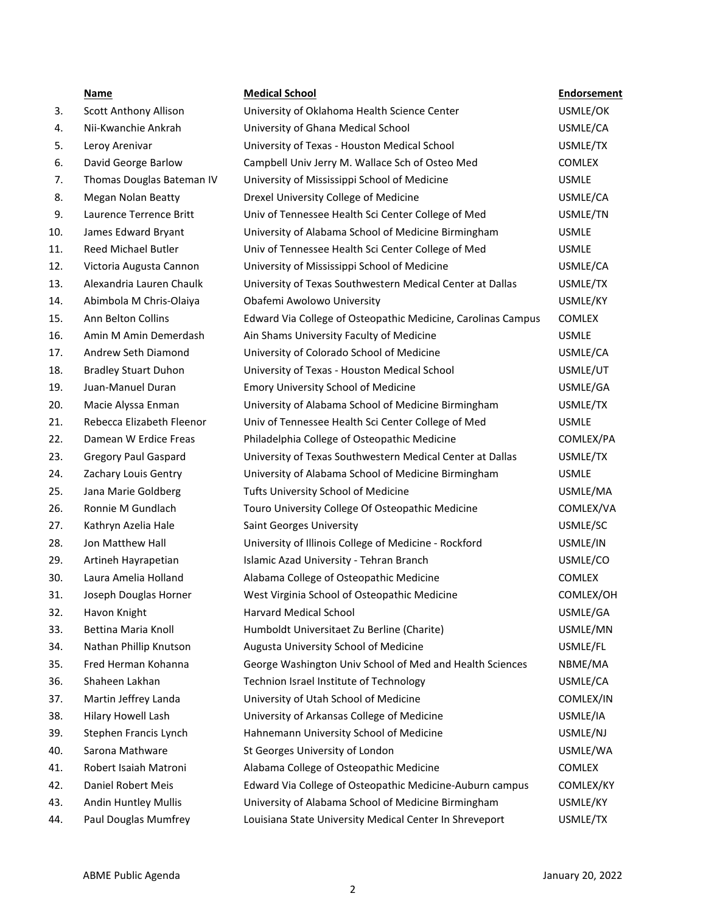|     | Name                         | <b>Medical School</b>                                        | <b>Endorsement</b> |
|-----|------------------------------|--------------------------------------------------------------|--------------------|
| 3.  | <b>Scott Anthony Allison</b> | University of Oklahoma Health Science Center                 | USMLE/OK           |
| 4.  | Nii-Kwanchie Ankrah          | University of Ghana Medical School                           | USMLE/CA           |
| 5.  | Leroy Arenivar               | University of Texas - Houston Medical School                 | USMLE/TX           |
| 6.  | David George Barlow          | Campbell Univ Jerry M. Wallace Sch of Osteo Med              | <b>COMLEX</b>      |
| 7.  | Thomas Douglas Bateman IV    | University of Mississippi School of Medicine                 | <b>USMLE</b>       |
| 8.  | <b>Megan Nolan Beatty</b>    | Drexel University College of Medicine                        | USMLE/CA           |
| 9.  | Laurence Terrence Britt      | Univ of Tennessee Health Sci Center College of Med           | USMLE/TN           |
| 10. | James Edward Bryant          | University of Alabama School of Medicine Birmingham          | <b>USMLE</b>       |
| 11. | Reed Michael Butler          | Univ of Tennessee Health Sci Center College of Med           | <b>USMLE</b>       |
| 12. | Victoria Augusta Cannon      | University of Mississippi School of Medicine                 | USMLE/CA           |
| 13. | Alexandria Lauren Chaulk     | University of Texas Southwestern Medical Center at Dallas    | USMLE/TX           |
| 14. | Abimbola M Chris-Olaiya      | Obafemi Awolowo University                                   | USMLE/KY           |
| 15. | Ann Belton Collins           | Edward Via College of Osteopathic Medicine, Carolinas Campus | <b>COMLEX</b>      |
| 16. | Amin M Amin Demerdash        | Ain Shams University Faculty of Medicine                     | <b>USMLE</b>       |
| 17. | Andrew Seth Diamond          | University of Colorado School of Medicine                    | USMLE/CA           |
| 18. | <b>Bradley Stuart Duhon</b>  | University of Texas - Houston Medical School                 | USMLE/UT           |
| 19. | Juan-Manuel Duran            | <b>Emory University School of Medicine</b>                   | USMLE/GA           |
| 20. | Macie Alyssa Enman           | University of Alabama School of Medicine Birmingham          | USMLE/TX           |
| 21. | Rebecca Elizabeth Fleenor    | Univ of Tennessee Health Sci Center College of Med           | <b>USMLE</b>       |
| 22. | Damean W Erdice Freas        | Philadelphia College of Osteopathic Medicine                 | COMLEX/PA          |
| 23. | <b>Gregory Paul Gaspard</b>  | University of Texas Southwestern Medical Center at Dallas    | USMLE/TX           |
| 24. | Zachary Louis Gentry         | University of Alabama School of Medicine Birmingham          | <b>USMLE</b>       |
| 25. | Jana Marie Goldberg          | Tufts University School of Medicine                          | USMLE/MA           |
| 26. | Ronnie M Gundlach            | Touro University College Of Osteopathic Medicine             | COMLEX/VA          |
| 27. | Kathryn Azelia Hale          | Saint Georges University                                     | USMLE/SC           |
| 28. | Jon Matthew Hall             | University of Illinois College of Medicine - Rockford        | USMLE/IN           |
| 29. | Artineh Hayrapetian          | Islamic Azad University - Tehran Branch                      | USMLE/CO           |
| 30. | Laura Amelia Holland         | Alabama College of Osteopathic Medicine                      | <b>COMLEX</b>      |
| 31. | Joseph Douglas Horner        | West Virginia School of Osteopathic Medicine                 | COMLEX/OH          |
| 32. | Havon Knight                 | Harvard Medical School                                       | USMLE/GA           |
| 33. | Bettina Maria Knoll          | Humboldt Universitaet Zu Berline (Charite)                   | USMLE/MN           |
| 34. | Nathan Phillip Knutson       | Augusta University School of Medicine                        | USMLE/FL           |
| 35. | Fred Herman Kohanna          | George Washington Univ School of Med and Health Sciences     | NBME/MA            |
| 36. | Shaheen Lakhan               | Technion Israel Institute of Technology                      | USMLE/CA           |
| 37. | Martin Jeffrey Landa         | University of Utah School of Medicine                        | COMLEX/IN          |
| 38. | Hilary Howell Lash           | University of Arkansas College of Medicine                   | USMLE/IA           |
| 39. | Stephen Francis Lynch        | Hahnemann University School of Medicine                      | USMLE/NJ           |
| 40. | Sarona Mathware              | St Georges University of London                              | USMLE/WA           |
| 41. | Robert Isaiah Matroni        | Alabama College of Osteopathic Medicine                      | <b>COMLEX</b>      |
| 42. | Daniel Robert Meis           | Edward Via College of Osteopathic Medicine-Auburn campus     | COMLEX/KY          |
| 43. | Andin Huntley Mullis         | University of Alabama School of Medicine Birmingham          | USMLE/KY           |
| 44. | Paul Douglas Mumfrey         | Louisiana State University Medical Center In Shreveport      | USMLE/TX           |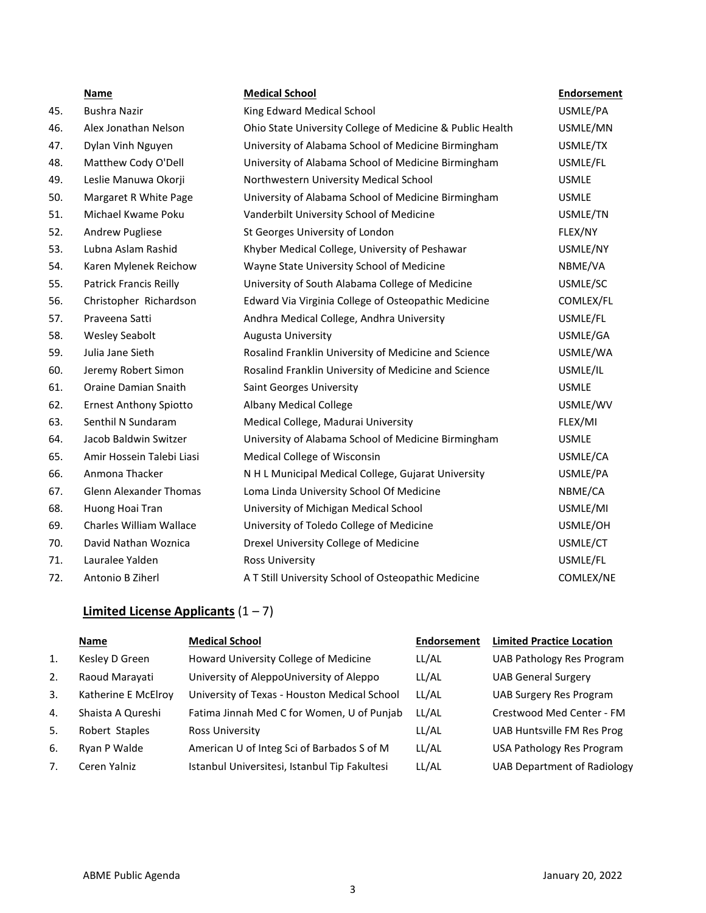|     | <b>Name</b>                    | <b>Medical School</b>                                     | <b>Endorsement</b> |
|-----|--------------------------------|-----------------------------------------------------------|--------------------|
| 45. | <b>Bushra Nazir</b>            | King Edward Medical School                                | USMLE/PA           |
| 46. | Alex Jonathan Nelson           | Ohio State University College of Medicine & Public Health | USMLE/MN           |
| 47. | Dylan Vinh Nguyen              | University of Alabama School of Medicine Birmingham       | USMLE/TX           |
| 48. | Matthew Cody O'Dell            | University of Alabama School of Medicine Birmingham       | USMLE/FL           |
| 49. | Leslie Manuwa Okorji           | Northwestern University Medical School                    | <b>USMLE</b>       |
| 50. | Margaret R White Page          | University of Alabama School of Medicine Birmingham       | <b>USMLE</b>       |
| 51. | Michael Kwame Poku             | Vanderbilt University School of Medicine                  | USMLE/TN           |
| 52. | <b>Andrew Pugliese</b>         | St Georges University of London                           | FLEX/NY            |
| 53. | Lubna Aslam Rashid             | Khyber Medical College, University of Peshawar            | USMLE/NY           |
| 54. | Karen Mylenek Reichow          | Wayne State University School of Medicine                 | NBME/VA            |
| 55. | <b>Patrick Francis Reilly</b>  | University of South Alabama College of Medicine           | USMLE/SC           |
| 56. | Christopher Richardson         | Edward Via Virginia College of Osteopathic Medicine       | COMLEX/FL          |
| 57. | Praveena Satti                 | Andhra Medical College, Andhra University                 | USMLE/FL           |
| 58. | <b>Wesley Seabolt</b>          | Augusta University                                        | USMLE/GA           |
| 59. | Julia Jane Sieth               | Rosalind Franklin University of Medicine and Science      | USMLE/WA           |
| 60. | Jeremy Robert Simon            | Rosalind Franklin University of Medicine and Science      | USMLE/IL           |
| 61. | Oraine Damian Snaith           | <b>Saint Georges University</b>                           | <b>USMLE</b>       |
| 62. | <b>Ernest Anthony Spiotto</b>  | <b>Albany Medical College</b>                             | USMLE/WV           |
| 63. | Senthil N Sundaram             | Medical College, Madurai University                       | FLEX/MI            |
| 64. | Jacob Baldwin Switzer          | University of Alabama School of Medicine Birmingham       | <b>USMLE</b>       |
| 65. | Amir Hossein Talebi Liasi      | Medical College of Wisconsin                              | USMLE/CA           |
| 66. | Anmona Thacker                 | N H L Municipal Medical College, Gujarat University       | USMLE/PA           |
| 67. | <b>Glenn Alexander Thomas</b>  | Loma Linda University School Of Medicine                  | NBME/CA            |
| 68. | Huong Hoai Tran                | University of Michigan Medical School                     | USMLE/MI           |
| 69. | <b>Charles William Wallace</b> | University of Toledo College of Medicine                  | USMLE/OH           |
| 70. | David Nathan Woznica           | Drexel University College of Medicine                     | USMLE/CT           |
| 71. | Lauralee Yalden                | <b>Ross University</b>                                    | USMLE/FL           |
| 72. | Antonio B Ziherl               | A T Still University School of Osteopathic Medicine       | COMLEX/NE          |

# **Limited License Applicants** (1 – 7)

|                | Name                | <b>Medical School</b>                         | <b>Endorsement</b> | <b>Limited Practice Location</b>   |
|----------------|---------------------|-----------------------------------------------|--------------------|------------------------------------|
| 1.             | Kesley D Green      | Howard University College of Medicine         | LL/AL              | <b>UAB Pathology Res Program</b>   |
| 2.             | Raoud Marayati      | University of AleppoUniversity of Aleppo      | LL/AL              | <b>UAB General Surgery</b>         |
| $\mathbf{3}$ . | Katherine E McElroy | University of Texas - Houston Medical School  | LL/AL              | <b>UAB Surgery Res Program</b>     |
| 4.             | Shaista A Qureshi   | Fatima Jinnah Med C for Women, U of Punjab    | LL/AL              | Crestwood Med Center - FM          |
| 5.             | Robert Staples      | Ross University                               | LL/AL              | UAB Huntsville FM Res Prog         |
| 6.             | Ryan P Walde        | American U of Integ Sci of Barbados S of M    | LL/AL              | <b>USA Pathology Res Program</b>   |
| 7.             | Ceren Yalniz        | Istanbul Universitesi, Istanbul Tip Fakultesi | LL/AL              | <b>UAB Department of Radiology</b> |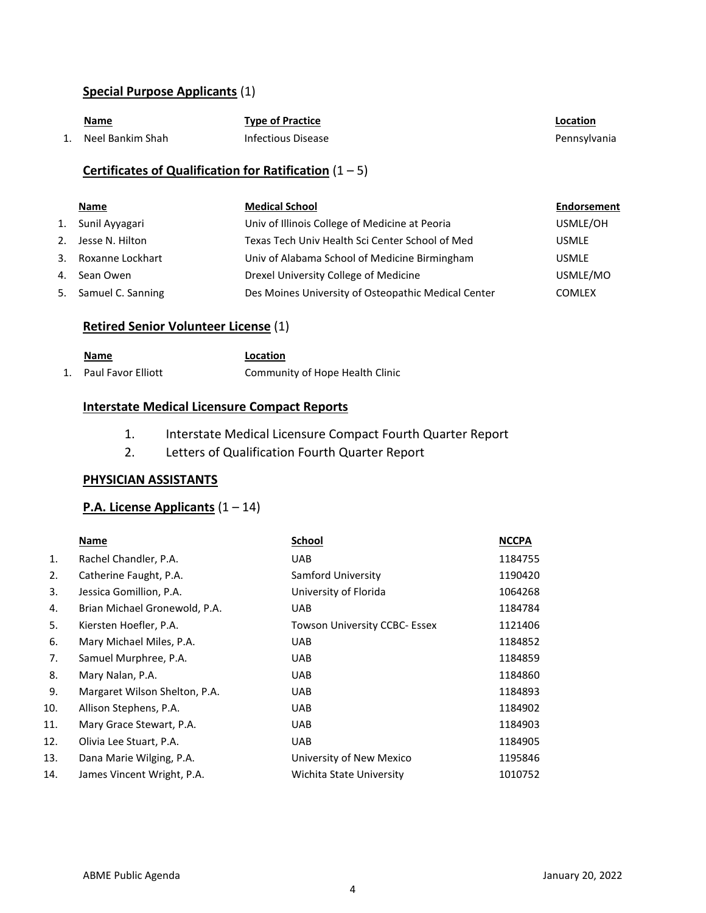# **Special Purpose Applicants** (1)

| <u>Name</u>      | <b>Type of Practice</b> | Location     |
|------------------|-------------------------|--------------|
| Neel Bankim Shah | Infectious Disease      | Pennsylvania |

# **Certificates of Qualification for Ratification** (1 – 5)

| Name                 | <b>Medical School</b>                               | Endorsement   |
|----------------------|-----------------------------------------------------|---------------|
| 1. Sunil Ayyagari    | Univ of Illinois College of Medicine at Peoria      | USMLE/OH      |
| 2. Jesse N. Hilton   | Texas Tech Univ Health Sci Center School of Med     | <b>USMLE</b>  |
| 3. Roxanne Lockhart  | Univ of Alabama School of Medicine Birmingham       | <b>USMLE</b>  |
| 4. Sean Owen         | Drexel University College of Medicine               | USMLE/MO      |
| 5. Samuel C. Sanning | Des Moines University of Osteopathic Medical Center | <b>COMLEX</b> |

# **Retired Senior Volunteer License** (1)

| <b>Name</b>           | Location                        |
|-----------------------|---------------------------------|
| 1. Paul Favor Elliott | Community of Hope Health Clinic |

## **Interstate Medical Licensure Compact Reports**

- 1. Interstate Medical Licensure Compact Fourth Quarter Report
- 2. Letters of Qualification Fourth Quarter Report

#### **PHYSICIAN ASSISTANTS**

## **P.A. License Applicants** (1 – 14)

|     | Name                          | <b>School</b>                        | <b>NCCPA</b> |
|-----|-------------------------------|--------------------------------------|--------------|
| 1.  | Rachel Chandler, P.A.         | <b>UAB</b>                           | 1184755      |
| 2.  | Catherine Faught, P.A.        | Samford University                   | 1190420      |
| 3.  | Jessica Gomillion, P.A.       | University of Florida                | 1064268      |
| 4.  | Brian Michael Gronewold, P.A. | <b>UAB</b>                           | 1184784      |
| 5.  | Kiersten Hoefler, P.A.        | <b>Towson University CCBC- Essex</b> | 1121406      |
| 6.  | Mary Michael Miles, P.A.      | <b>UAB</b>                           | 1184852      |
| 7.  | Samuel Murphree, P.A.         | <b>UAB</b>                           | 1184859      |
| 8.  | Mary Nalan, P.A.              | <b>UAB</b>                           | 1184860      |
| 9.  | Margaret Wilson Shelton, P.A. | <b>UAB</b>                           | 1184893      |
| 10. | Allison Stephens, P.A.        | <b>UAB</b>                           | 1184902      |
| 11. | Mary Grace Stewart, P.A.      | <b>UAB</b>                           | 1184903      |
| 12. | Olivia Lee Stuart, P.A.       | <b>UAB</b>                           | 1184905      |
| 13. | Dana Marie Wilging, P.A.      | University of New Mexico             | 1195846      |
| 14. | James Vincent Wright, P.A.    | Wichita State University             | 1010752      |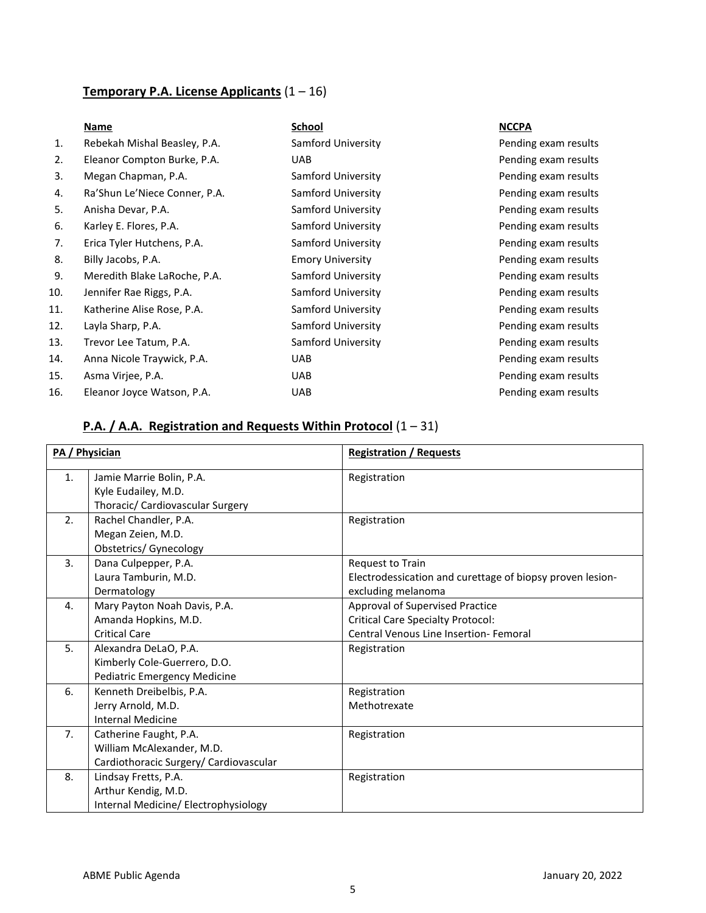# **Temporary P.A. License Applicants** (1 – 16)

| 1.  | Rebekah Mishal Beasley, P.A.  | Samford University      | Per |
|-----|-------------------------------|-------------------------|-----|
| 2.  | Eleanor Compton Burke, P.A.   | UAB                     | Per |
| 3.  | Megan Chapman, P.A.           | Samford University      | Per |
| 4.  | Ra'Shun Le'Niece Conner, P.A. | Samford University      | Per |
| 5.  | Anisha Devar, P.A.            | Samford University      | Per |
| 6.  | Karley E. Flores, P.A.        | Samford University      | Per |
| 7.  | Erica Tyler Hutchens, P.A.    | Samford University      | Per |
| 8.  | Billy Jacobs, P.A.            | <b>Emory University</b> | Per |
| 9.  | Meredith Blake LaRoche, P.A.  | Samford University      | Per |
| 10. | Jennifer Rae Riggs, P.A.      | Samford University      | Per |
| 11. | Katherine Alise Rose, P.A.    | Samford University      | Per |
| 12. | Layla Sharp, P.A.             | Samford University      | Per |
| 13. | Trevor Lee Tatum, P.A.        | Samford University      | Per |
| 14. | Anna Nicole Traywick, P.A.    | UAB                     | Per |
| 15. | Asma Virjee, P.A.             | UAB                     | Per |
| 16. | Eleanor Joyce Watson, P.A.    | <b>UAB</b>              | Per |
|     |                               |                         |     |

#### **Name School NCCPA**

nding exam results nding exam results nding exam results nding exam results nding exam results nding exam results nding exam results nding exam results nding exam results nding exam results nding exam results nding exam results nding exam results nding exam results nding exam results nding exam results

# **P.A. / A.A. Registration and Requests Within Protocol** (1 – 31)

| PA / Physician |                                                                                               | <b>Registration / Requests</b>                                                                                        |
|----------------|-----------------------------------------------------------------------------------------------|-----------------------------------------------------------------------------------------------------------------------|
| 1.             | Jamie Marrie Bolin, P.A.<br>Kyle Eudailey, M.D.<br>Thoracic/ Cardiovascular Surgery           | Registration                                                                                                          |
| 2 <sub>1</sub> | Rachel Chandler, P.A.<br>Megan Zeien, M.D.<br>Obstetrics/ Gynecology                          | Registration                                                                                                          |
| 3.             | Dana Culpepper, P.A.<br>Laura Tamburin, M.D.<br>Dermatology                                   | <b>Request to Train</b><br>Electrodessication and curettage of biopsy proven lesion-<br>excluding melanoma            |
| 4.             | Mary Payton Noah Davis, P.A.<br>Amanda Hopkins, M.D.<br><b>Critical Care</b>                  | Approval of Supervised Practice<br><b>Critical Care Specialty Protocol:</b><br>Central Venous Line Insertion- Femoral |
| 5.             | Alexandra DeLaO, P.A.<br>Kimberly Cole-Guerrero, D.O.<br><b>Pediatric Emergency Medicine</b>  | Registration                                                                                                          |
| 6.             | Kenneth Dreibelbis, P.A.<br>Jerry Arnold, M.D.<br><b>Internal Medicine</b>                    | Registration<br>Methotrexate                                                                                          |
| 7 <sub>1</sub> | Catherine Faught, P.A.<br>William McAlexander, M.D.<br>Cardiothoracic Surgery/ Cardiovascular | Registration                                                                                                          |
| 8.             | Lindsay Fretts, P.A.<br>Arthur Kendig, M.D.<br>Internal Medicine/ Electrophysiology           | Registration                                                                                                          |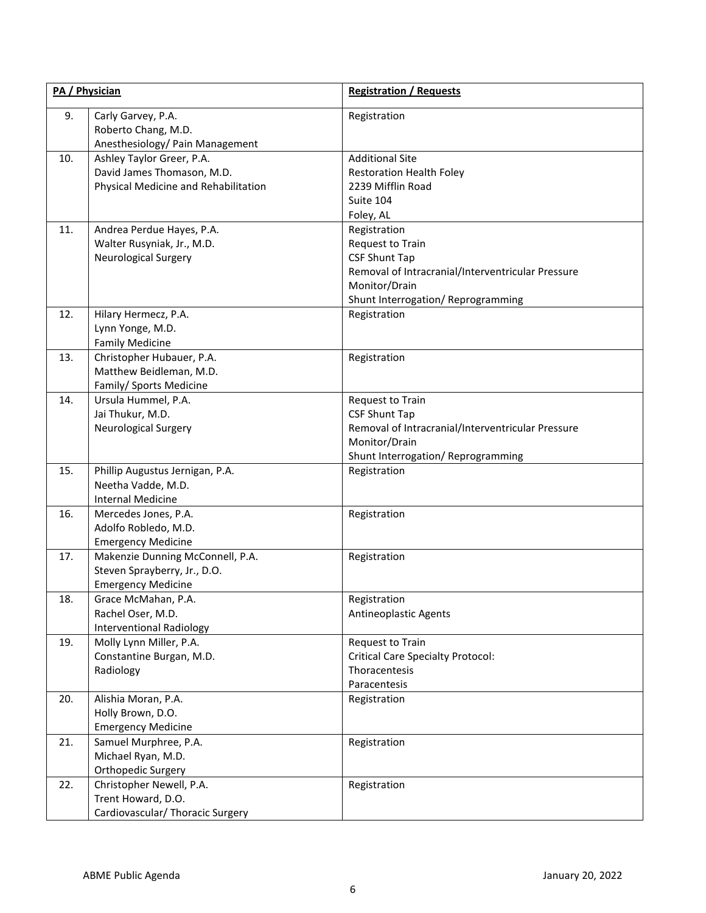| PA / Physician |                                                                                                 | <b>Registration / Requests</b>                                                                                                                                       |
|----------------|-------------------------------------------------------------------------------------------------|----------------------------------------------------------------------------------------------------------------------------------------------------------------------|
| 9.             | Carly Garvey, P.A.<br>Roberto Chang, M.D.<br>Anesthesiology/ Pain Management                    | Registration                                                                                                                                                         |
| 10.            | Ashley Taylor Greer, P.A.<br>David James Thomason, M.D.<br>Physical Medicine and Rehabilitation | <b>Additional Site</b><br><b>Restoration Health Foley</b><br>2239 Mifflin Road<br>Suite 104<br>Foley, AL                                                             |
| 11.            | Andrea Perdue Hayes, P.A.<br>Walter Rusyniak, Jr., M.D.<br><b>Neurological Surgery</b>          | Registration<br>Request to Train<br><b>CSF Shunt Tap</b><br>Removal of Intracranial/Interventricular Pressure<br>Monitor/Drain<br>Shunt Interrogation/ Reprogramming |
| 12.            | Hilary Hermecz, P.A.<br>Lynn Yonge, M.D.<br><b>Family Medicine</b>                              | Registration                                                                                                                                                         |
| 13.            | Christopher Hubauer, P.A.<br>Matthew Beidleman, M.D.<br>Family/ Sports Medicine                 | Registration                                                                                                                                                         |
| 14.            | Ursula Hummel, P.A.<br>Jai Thukur, M.D.<br><b>Neurological Surgery</b>                          | Request to Train<br><b>CSF Shunt Tap</b><br>Removal of Intracranial/Interventricular Pressure<br>Monitor/Drain<br>Shunt Interrogation/ Reprogramming                 |
| 15.            | Phillip Augustus Jernigan, P.A.<br>Neetha Vadde, M.D.<br><b>Internal Medicine</b>               | Registration                                                                                                                                                         |
| 16.            | Mercedes Jones, P.A.<br>Adolfo Robledo, M.D.<br><b>Emergency Medicine</b>                       | Registration                                                                                                                                                         |
| 17.            | Makenzie Dunning McConnell, P.A.<br>Steven Sprayberry, Jr., D.O.<br><b>Emergency Medicine</b>   | Registration                                                                                                                                                         |
| 18.            | Grace McMahan, P.A.<br>Rachel Oser, M.D.<br><b>Interventional Radiology</b>                     | Registration<br>Antineoplastic Agents                                                                                                                                |
| 19.            | Molly Lynn Miller, P.A.<br>Constantine Burgan, M.D.<br>Radiology                                | Request to Train<br><b>Critical Care Specialty Protocol:</b><br>Thoracentesis<br>Paracentesis                                                                        |
| 20.            | Alishia Moran, P.A.<br>Holly Brown, D.O.<br><b>Emergency Medicine</b>                           | Registration                                                                                                                                                         |
| 21.            | Samuel Murphree, P.A.<br>Michael Ryan, M.D.<br>Orthopedic Surgery                               | Registration                                                                                                                                                         |
| 22.            | Christopher Newell, P.A.<br>Trent Howard, D.O.<br>Cardiovascular/ Thoracic Surgery              | Registration                                                                                                                                                         |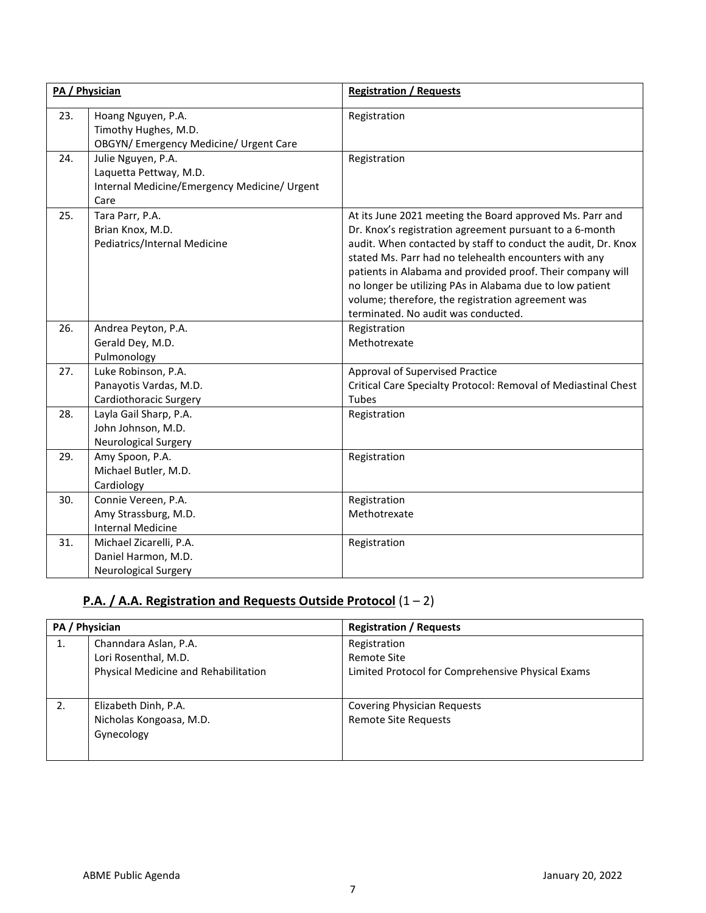|     | PA / Physician                                                                                       | <b>Registration / Requests</b>                                                                                                                                                                                                                                                                                                                                                                                                                                      |
|-----|------------------------------------------------------------------------------------------------------|---------------------------------------------------------------------------------------------------------------------------------------------------------------------------------------------------------------------------------------------------------------------------------------------------------------------------------------------------------------------------------------------------------------------------------------------------------------------|
| 23. | Hoang Nguyen, P.A.<br>Timothy Hughes, M.D.<br>OBGYN/ Emergency Medicine/ Urgent Care                 | Registration                                                                                                                                                                                                                                                                                                                                                                                                                                                        |
| 24. | Julie Nguyen, P.A.<br>Laquetta Pettway, M.D.<br>Internal Medicine/Emergency Medicine/ Urgent<br>Care | Registration                                                                                                                                                                                                                                                                                                                                                                                                                                                        |
| 25. | Tara Parr, P.A.<br>Brian Knox, M.D.<br>Pediatrics/Internal Medicine                                  | At its June 2021 meeting the Board approved Ms. Parr and<br>Dr. Knox's registration agreement pursuant to a 6-month<br>audit. When contacted by staff to conduct the audit, Dr. Knox<br>stated Ms. Parr had no telehealth encounters with any<br>patients in Alabama and provided proof. Their company will<br>no longer be utilizing PAs in Alabama due to low patient<br>volume; therefore, the registration agreement was<br>terminated. No audit was conducted. |
| 26. | Andrea Peyton, P.A.<br>Gerald Dey, M.D.<br>Pulmonology                                               | Registration<br>Methotrexate                                                                                                                                                                                                                                                                                                                                                                                                                                        |
| 27. | Luke Robinson, P.A.<br>Panayotis Vardas, M.D.<br>Cardiothoracic Surgery                              | Approval of Supervised Practice<br>Critical Care Specialty Protocol: Removal of Mediastinal Chest<br>Tubes                                                                                                                                                                                                                                                                                                                                                          |
| 28. | Layla Gail Sharp, P.A.<br>John Johnson, M.D.<br><b>Neurological Surgery</b>                          | Registration                                                                                                                                                                                                                                                                                                                                                                                                                                                        |
| 29. | Amy Spoon, P.A.<br>Michael Butler, M.D.<br>Cardiology                                                | Registration                                                                                                                                                                                                                                                                                                                                                                                                                                                        |
| 30. | Connie Vereen, P.A.<br>Amy Strassburg, M.D.<br><b>Internal Medicine</b>                              | Registration<br>Methotrexate                                                                                                                                                                                                                                                                                                                                                                                                                                        |
| 31. | Michael Zicarelli, P.A.<br>Daniel Harmon, M.D.<br><b>Neurological Surgery</b>                        | Registration                                                                                                                                                                                                                                                                                                                                                                                                                                                        |

# **P.A. / A.A. Registration and Requests Outside Protocol** (1 – 2)

| PA / Physician |                                      | <b>Registration / Requests</b>                    |
|----------------|--------------------------------------|---------------------------------------------------|
| 1.             | Channdara Aslan, P.A.                | Registration                                      |
|                | Lori Rosenthal, M.D.                 | Remote Site                                       |
|                | Physical Medicine and Rehabilitation | Limited Protocol for Comprehensive Physical Exams |
|                |                                      |                                                   |
|                | Elizabeth Dinh, P.A.                 | <b>Covering Physician Requests</b>                |
|                | Nicholas Kongoasa, M.D.              | <b>Remote Site Requests</b>                       |
|                | Gynecology                           |                                                   |
|                |                                      |                                                   |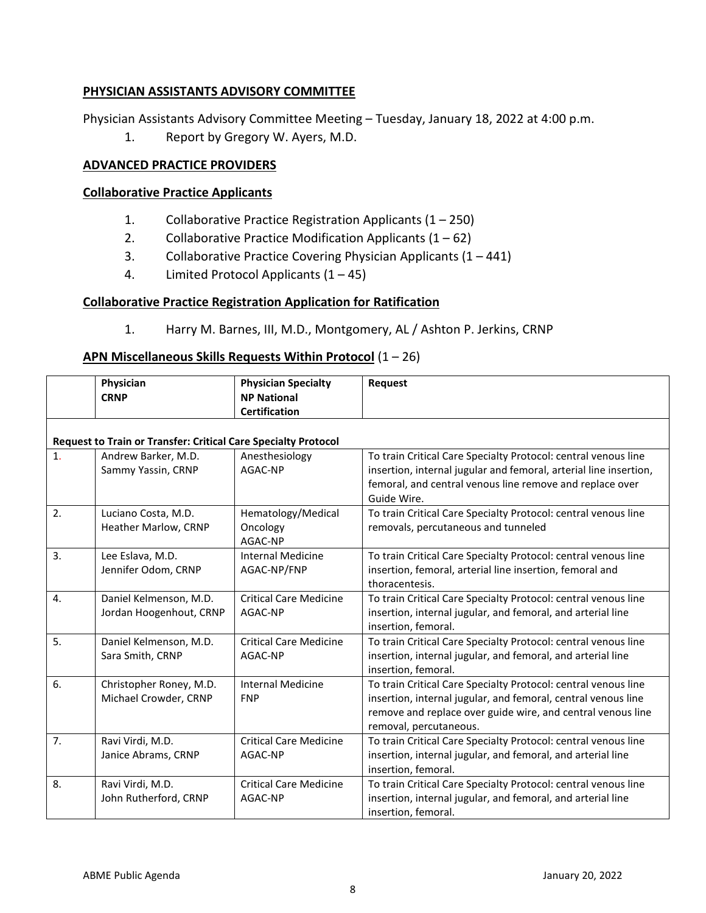# **PHYSICIAN ASSISTANTS ADVISORY COMMITTEE**

Physician Assistants Advisory Committee Meeting – Tuesday, January 18, 2022 at 4:00 p.m.

1. Report by Gregory W. Ayers, M.D.

# **ADVANCED PRACTICE PROVIDERS**

## **Collaborative Practice Applicants**

- 1. Collaborative Practice Registration Applicants (1 250)
- 2. Collaborative Practice Modification Applicants  $(1 62)$
- 3. Collaborative Practice Covering Physician Applicants (1 441)
- 4. Limited Protocol Applicants  $(1 45)$

# **Collaborative Practice Registration Application for Ratification**

1. Harry M. Barnes, III, M.D., Montgomery, AL / Ashton P. Jerkins, CRNP

## **APN Miscellaneous Skills Requests Within Protocol** (1 – 26)

|    | Physician<br><b>CRNP</b>                                       | <b>Physician Specialty</b><br><b>NP National</b><br><b>Certification</b> | <b>Request</b>                                                                                                                                                                                                           |
|----|----------------------------------------------------------------|--------------------------------------------------------------------------|--------------------------------------------------------------------------------------------------------------------------------------------------------------------------------------------------------------------------|
|    | Request to Train or Transfer: Critical Care Specialty Protocol |                                                                          |                                                                                                                                                                                                                          |
| 1. | Andrew Barker, M.D.<br>Sammy Yassin, CRNP                      | Anesthesiology<br>AGAC-NP                                                | To train Critical Care Specialty Protocol: central venous line<br>insertion, internal jugular and femoral, arterial line insertion,<br>femoral, and central venous line remove and replace over<br>Guide Wire.           |
| 2. | Luciano Costa, M.D.<br>Heather Marlow, CRNP                    | Hematology/Medical<br>Oncology<br>AGAC-NP                                | To train Critical Care Specialty Protocol: central venous line<br>removals, percutaneous and tunneled                                                                                                                    |
| 3. | Lee Eslava, M.D.<br>Jennifer Odom, CRNP                        | <b>Internal Medicine</b><br>AGAC-NP/FNP                                  | To train Critical Care Specialty Protocol: central venous line<br>insertion, femoral, arterial line insertion, femoral and<br>thoracentesis.                                                                             |
| 4. | Daniel Kelmenson, M.D.<br>Jordan Hoogenhout, CRNP              | <b>Critical Care Medicine</b><br>AGAC-NP                                 | To train Critical Care Specialty Protocol: central venous line<br>insertion, internal jugular, and femoral, and arterial line<br>insertion, femoral.                                                                     |
| 5. | Daniel Kelmenson, M.D.<br>Sara Smith, CRNP                     | <b>Critical Care Medicine</b><br>AGAC-NP                                 | To train Critical Care Specialty Protocol: central venous line<br>insertion, internal jugular, and femoral, and arterial line<br>insertion, femoral.                                                                     |
| 6. | Christopher Roney, M.D.<br>Michael Crowder, CRNP               | <b>Internal Medicine</b><br><b>FNP</b>                                   | To train Critical Care Specialty Protocol: central venous line<br>insertion, internal jugular, and femoral, central venous line<br>remove and replace over guide wire, and central venous line<br>removal, percutaneous. |
| 7. | Ravi Virdi, M.D.<br>Janice Abrams, CRNP                        | <b>Critical Care Medicine</b><br>AGAC-NP                                 | To train Critical Care Specialty Protocol: central venous line<br>insertion, internal jugular, and femoral, and arterial line<br>insertion, femoral.                                                                     |
| 8. | Ravi Virdi, M.D.<br>John Rutherford, CRNP                      | <b>Critical Care Medicine</b><br>AGAC-NP                                 | To train Critical Care Specialty Protocol: central venous line<br>insertion, internal jugular, and femoral, and arterial line<br>insertion, femoral.                                                                     |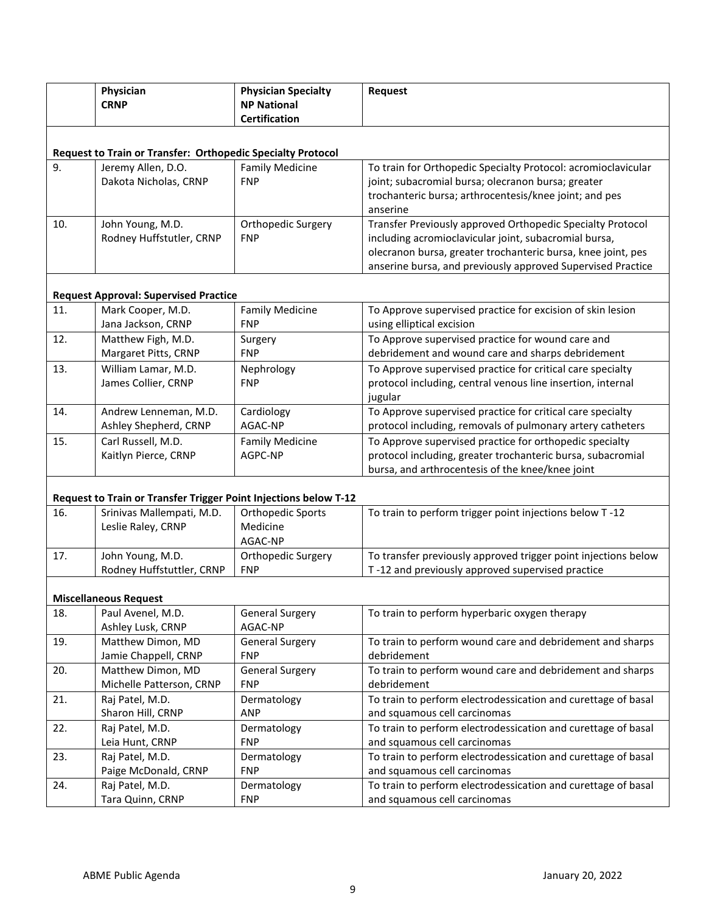|     | Physician<br><b>CRNP</b>                                               | <b>Physician Specialty</b><br><b>NP National</b><br><b>Certification</b> | Request                                                                                                                                                                                                                                            |
|-----|------------------------------------------------------------------------|--------------------------------------------------------------------------|----------------------------------------------------------------------------------------------------------------------------------------------------------------------------------------------------------------------------------------------------|
|     | Request to Train or Transfer: Orthopedic Specialty Protocol            |                                                                          |                                                                                                                                                                                                                                                    |
| 9.  | Jeremy Allen, D.O.<br>Dakota Nicholas, CRNP                            | <b>Family Medicine</b><br><b>FNP</b>                                     | To train for Orthopedic Specialty Protocol: acromioclavicular<br>joint; subacromial bursa; olecranon bursa; greater<br>trochanteric bursa; arthrocentesis/knee joint; and pes<br>anserine                                                          |
| 10. | John Young, M.D.<br>Rodney Huffstutler, CRNP                           | Orthopedic Surgery<br><b>FNP</b>                                         | Transfer Previously approved Orthopedic Specialty Protocol<br>including acromioclavicular joint, subacromial bursa,<br>olecranon bursa, greater trochanteric bursa, knee joint, pes<br>anserine bursa, and previously approved Supervised Practice |
|     | <b>Request Approval: Supervised Practice</b>                           |                                                                          |                                                                                                                                                                                                                                                    |
| 11. | Mark Cooper, M.D.<br>Jana Jackson, CRNP                                | <b>Family Medicine</b><br><b>FNP</b>                                     | To Approve supervised practice for excision of skin lesion<br>using elliptical excision                                                                                                                                                            |
| 12. | Matthew Figh, M.D.<br>Margaret Pitts, CRNP                             | Surgery<br><b>FNP</b>                                                    | To Approve supervised practice for wound care and<br>debridement and wound care and sharps debridement                                                                                                                                             |
| 13. | William Lamar, M.D.<br>James Collier, CRNP                             | Nephrology<br><b>FNP</b>                                                 | To Approve supervised practice for critical care specialty<br>protocol including, central venous line insertion, internal<br>jugular                                                                                                               |
| 14. | Andrew Lenneman, M.D.<br>Ashley Shepherd, CRNP                         | Cardiology<br>AGAC-NP                                                    | To Approve supervised practice for critical care specialty<br>protocol including, removals of pulmonary artery catheters                                                                                                                           |
| 15. | Carl Russell, M.D.<br>Kaitlyn Pierce, CRNP                             | <b>Family Medicine</b><br>AGPC-NP                                        | To Approve supervised practice for orthopedic specialty<br>protocol including, greater trochanteric bursa, subacromial<br>bursa, and arthrocentesis of the knee/knee joint                                                                         |
|     | Request to Train or Transfer Trigger Point Injections below T-12       |                                                                          |                                                                                                                                                                                                                                                    |
| 16. | Srinivas Mallempati, M.D.<br>Leslie Raley, CRNP                        | Orthopedic Sports<br>Medicine<br>AGAC-NP                                 | To train to perform trigger point injections below T-12                                                                                                                                                                                            |
| 17. | John Young, M.D.<br>Rodney Huffstuttler, CRNP                          | Orthopedic Surgery<br><b>FNP</b>                                         | To transfer previously approved trigger point injections below<br>T-12 and previously approved supervised practice                                                                                                                                 |
|     |                                                                        |                                                                          |                                                                                                                                                                                                                                                    |
| 18. | <b>Miscellaneous Request</b><br>Paul Avenel, M.D.<br>Ashley Lusk, CRNP | <b>General Surgery</b><br>AGAC-NP                                        | To train to perform hyperbaric oxygen therapy                                                                                                                                                                                                      |
| 19. | Matthew Dimon, MD<br>Jamie Chappell, CRNP                              | <b>General Surgery</b><br><b>FNP</b>                                     | To train to perform wound care and debridement and sharps<br>debridement                                                                                                                                                                           |
| 20. | Matthew Dimon, MD<br>Michelle Patterson, CRNP                          | <b>General Surgery</b><br><b>FNP</b>                                     | To train to perform wound care and debridement and sharps<br>debridement                                                                                                                                                                           |
| 21. | Raj Patel, M.D.<br>Sharon Hill, CRNP                                   | Dermatology<br><b>ANP</b>                                                | To train to perform electrodessication and curettage of basal<br>and squamous cell carcinomas                                                                                                                                                      |
| 22. | Raj Patel, M.D.<br>Leia Hunt, CRNP                                     | Dermatology<br><b>FNP</b>                                                | To train to perform electrodessication and curettage of basal<br>and squamous cell carcinomas                                                                                                                                                      |
| 23. | Raj Patel, M.D.<br>Paige McDonald, CRNP                                | Dermatology<br><b>FNP</b>                                                | To train to perform electrodessication and curettage of basal<br>and squamous cell carcinomas                                                                                                                                                      |
| 24. | Raj Patel, M.D.<br>Tara Quinn, CRNP                                    | Dermatology<br><b>FNP</b>                                                | To train to perform electrodessication and curettage of basal<br>and squamous cell carcinomas                                                                                                                                                      |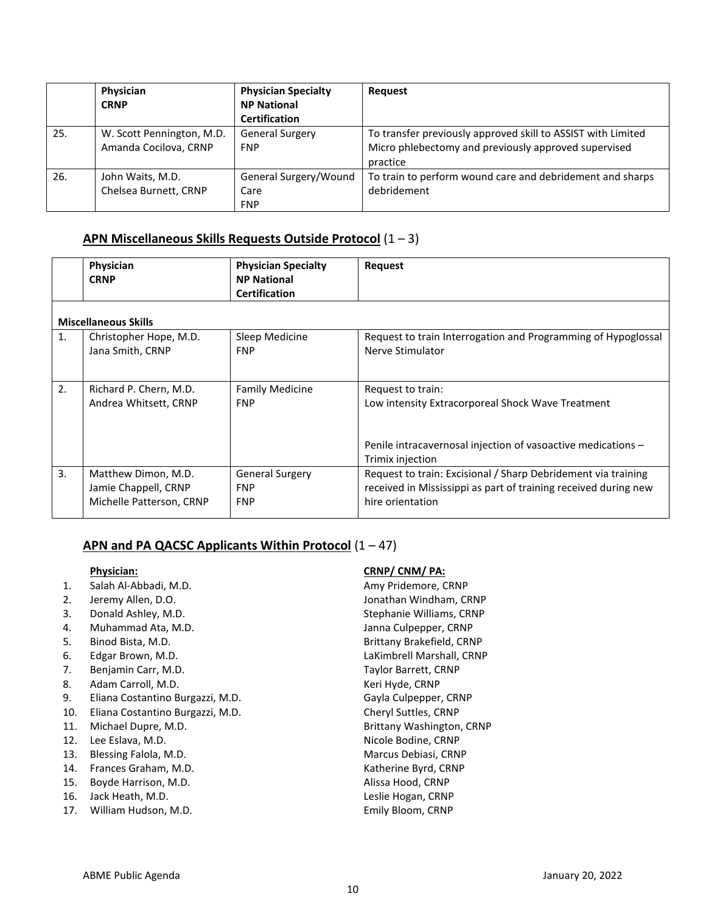|     | Physician<br><b>CRNP</b>                           | <b>Physician Specialty</b><br><b>NP National</b><br><b>Certification</b> | <b>Request</b>                                                                                                                   |
|-----|----------------------------------------------------|--------------------------------------------------------------------------|----------------------------------------------------------------------------------------------------------------------------------|
| 25. | W. Scott Pennington, M.D.<br>Amanda Cocilova, CRNP | <b>General Surgery</b><br><b>FNP</b>                                     | To transfer previously approved skill to ASSIST with Limited<br>Micro phlebectomy and previously approved supervised<br>practice |
| 26. | John Waits, M.D.<br>Chelsea Burnett, CRNP          | General Surgery/Wound<br>Care<br><b>FNP</b>                              | To train to perform wound care and debridement and sharps<br>debridement                                                         |

# **APN Miscellaneous Skills Requests Outside Protocol** (1 – 3)

|                | Physician<br><b>CRNP</b>                                                | <b>Physician Specialty</b><br><b>NP National</b><br><b>Certification</b> | <b>Request</b>                                                                                                                                             |
|----------------|-------------------------------------------------------------------------|--------------------------------------------------------------------------|------------------------------------------------------------------------------------------------------------------------------------------------------------|
|                | <b>Miscellaneous Skills</b>                                             |                                                                          |                                                                                                                                                            |
| $\mathbf{1}$ . | Christopher Hope, M.D.<br>Jana Smith, CRNP                              | Sleep Medicine<br><b>FNP</b>                                             | Request to train Interrogation and Programming of Hypoglossal<br>Nerve Stimulator                                                                          |
| 2.             | Richard P. Chern, M.D.<br>Andrea Whitsett, CRNP                         | <b>Family Medicine</b><br><b>FNP</b>                                     | Request to train:<br>Low intensity Extracorporeal Shock Wave Treatment<br>Penile intracavernosal injection of vasoactive medications -<br>Trimix injection |
| 3.             | Matthew Dimon, M.D.<br>Jamie Chappell, CRNP<br>Michelle Patterson, CRNP | <b>General Surgery</b><br><b>FNP</b><br><b>FNP</b>                       | Request to train: Excisional / Sharp Debridement via training<br>received in Mississippi as part of training received during new<br>hire orientation       |

# **APN and PA QACSC Applicants Within Protocol** (1 – 47)

- 1. Salah Al-Abbadi, M.D. **Amy Pridemore, CRNP**
- 
- 3. Donald Ashley, M.D. Stephanie Williams, CRNP
- 4. Muhammad Ata, M.D. Janna Culpepper, CRNP
- 
- 
- 7. Benjamin Carr, M.D. Sand Carrett, CRNP
- 8. Adam Carroll, M.D. **Keri Hyde, CRNP**
- 9. Eliana Costantino Burgazzi, M.D. Cannell Cayla Culpepper, CRNP
- 10. Eliana Costantino Burgazzi, M.D. Cheryl Suttles, CRNP
- 
- 12. Lee Eslava, M.D. Sandbook and the extendio of the Nicole Bodine, CRNP
- 13. Blessing Falola, M.D. Marcus Debiasi, CRNP
- 14. Frances Graham, M.D. Katherine Byrd, CRNP
- 15. Boyde Harrison, M.D. **Alissa Hood, CRNP**
- 16. Jack Heath, M.D. Leslie Hogan, CRNP
- 17. William Hudson, M.D. Emily Bloom, CRNP

#### **Physician: CRNP/ CNM/ PA:**

2. Jeremy Allen, D.O. Jonathan Windham, CRNP 5. Binod Bista, M.D. Brittany Brakefield, CRNP 6. Edgar Brown, M.D. LaKimbrell Marshall, CRNP 11. Michael Dupre, M.D. **Brittany Washington, CRNP**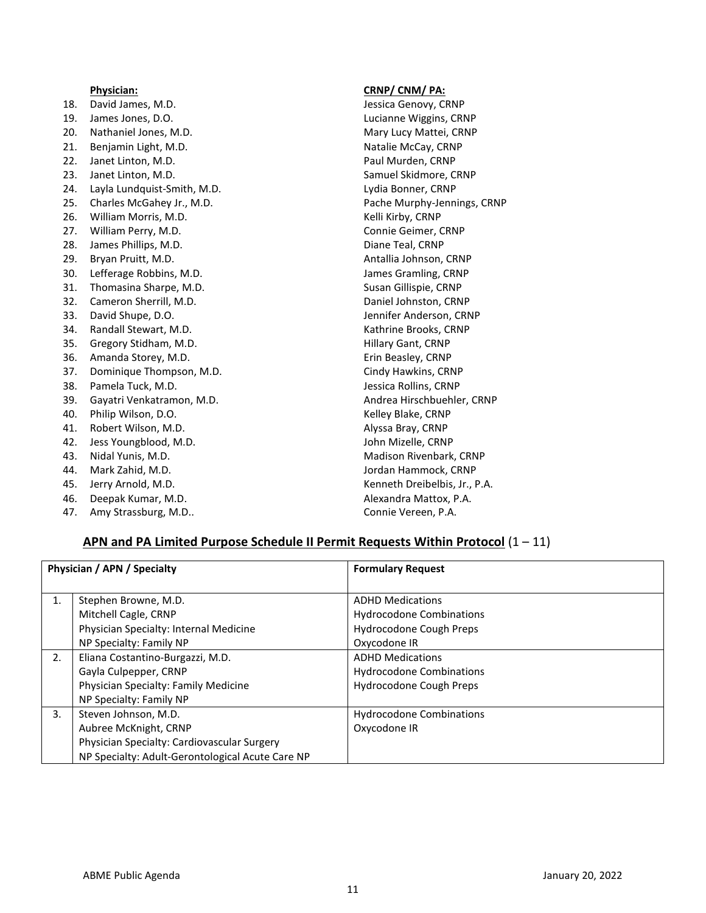|     | Physician:                  | CRNP/ CNM/ PA:                |
|-----|-----------------------------|-------------------------------|
| 18. | David James, M.D.           | Jessica Genovy, CRNP          |
| 19. | James Jones, D.O.           | Lucianne Wiggins, CRNP        |
| 20. | Nathaniel Jones, M.D.       | Mary Lucy Mattei, CRNP        |
| 21. | Benjamin Light, M.D.        | Natalie McCay, CRNP           |
| 22. | Janet Linton, M.D.          | Paul Murden, CRNP             |
| 23. | Janet Linton, M.D.          | Samuel Skidmore, CRNP         |
| 24. | Layla Lundquist-Smith, M.D. | Lydia Bonner, CRNP            |
| 25. | Charles McGahey Jr., M.D.   | Pache Murphy-Jennings, CRNP   |
| 26. | William Morris, M.D.        | Kelli Kirby, CRNP             |
| 27. | William Perry, M.D.         | Connie Geimer, CRNP           |
| 28. | James Phillips, M.D.        | Diane Teal, CRNP              |
| 29. | Bryan Pruitt, M.D.          | Antallia Johnson, CRNP        |
| 30. | Lefferage Robbins, M.D.     | James Gramling, CRNP          |
| 31. | Thomasina Sharpe, M.D.      | Susan Gillispie, CRNP         |
| 32. | Cameron Sherrill, M.D.      | Daniel Johnston, CRNP         |
| 33. | David Shupe, D.O.           | Jennifer Anderson, CRNP       |
| 34. | Randall Stewart, M.D.       | Kathrine Brooks, CRNP         |
| 35. | Gregory Stidham, M.D.       | <b>Hillary Gant, CRNP</b>     |
| 36. | Amanda Storey, M.D.         | Erin Beasley, CRNP            |
| 37. | Dominique Thompson, M.D.    | Cindy Hawkins, CRNP           |
| 38. | Pamela Tuck, M.D.           | Jessica Rollins, CRNP         |
| 39. | Gayatri Venkatramon, M.D.   | Andrea Hirschbuehler, CRNP    |
| 40. | Philip Wilson, D.O.         | Kelley Blake, CRNP            |
| 41. | Robert Wilson, M.D.         | Alyssa Bray, CRNP             |
| 42. | Jess Youngblood, M.D.       | John Mizelle, CRNP            |
| 43. | Nidal Yunis, M.D.           | Madison Rivenbark, CRNP       |
| 44. | Mark Zahid, M.D.            | Jordan Hammock, CRNP          |
| 45. | Jerry Arnold, M.D.          | Kenneth Dreibelbis, Jr., P.A. |
| 46. | Deepak Kumar, M.D.          | Alexandra Mattox, P.A.        |
| 47. | Amy Strassburg, M.D         | Connie Vereen, P.A.           |

# **APN and PA Limited Purpose Schedule II Permit Requests Within Protocol** (1 – 11)

| Physician / APN / Specialty |                                                                   | <b>Formulary Request</b>                                   |
|-----------------------------|-------------------------------------------------------------------|------------------------------------------------------------|
| $\mathbf{1}$ .              | Stephen Browne, M.D.<br>Mitchell Cagle, CRNP                      | <b>ADHD Medications</b><br><b>Hydrocodone Combinations</b> |
|                             | Physician Specialty: Internal Medicine<br>NP Specialty: Family NP | Hydrocodone Cough Preps<br>Oxycodone IR                    |
| 2.                          | Eliana Costantino-Burgazzi, M.D.                                  | <b>ADHD Medications</b>                                    |
|                             | Gayla Culpepper, CRNP                                             | <b>Hydrocodone Combinations</b>                            |
|                             | Physician Specialty: Family Medicine                              | <b>Hydrocodone Cough Preps</b>                             |
|                             | NP Specialty: Family NP                                           |                                                            |
| 3.                          | Steven Johnson, M.D.                                              | <b>Hydrocodone Combinations</b>                            |
|                             | Aubree McKnight, CRNP                                             | Oxycodone IR                                               |
|                             | Physician Specialty: Cardiovascular Surgery                       |                                                            |
|                             | NP Specialty: Adult-Gerontological Acute Care NP                  |                                                            |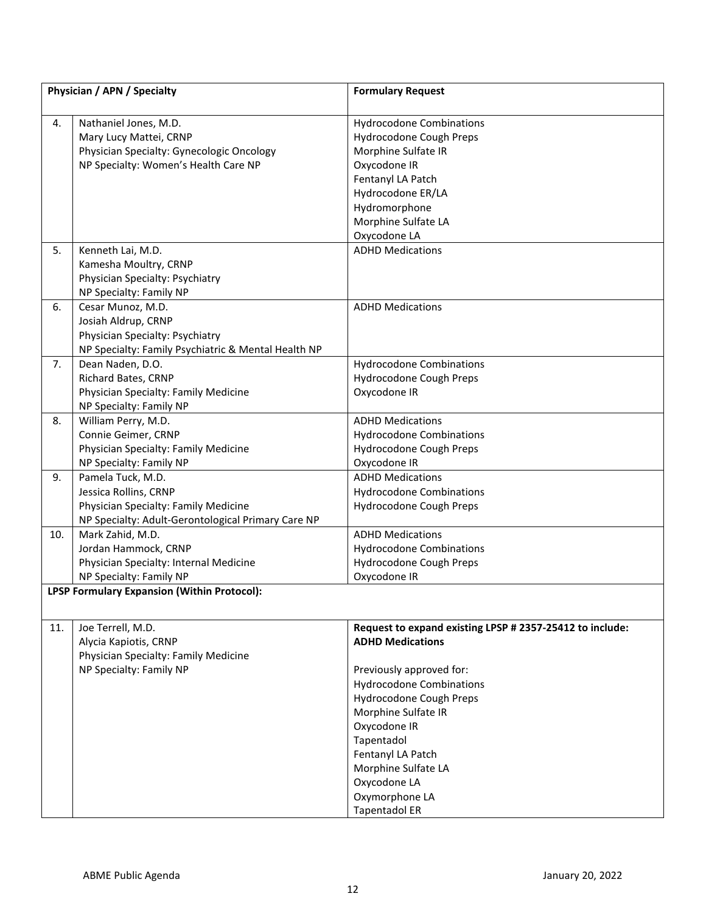| Physician / APN / Specialty |                                                                                                                                          | <b>Formulary Request</b>                                                                                                                                                                                                                                                                                                                 |
|-----------------------------|------------------------------------------------------------------------------------------------------------------------------------------|------------------------------------------------------------------------------------------------------------------------------------------------------------------------------------------------------------------------------------------------------------------------------------------------------------------------------------------|
| 4.                          | Nathaniel Jones, M.D.<br>Mary Lucy Mattei, CRNP<br>Physician Specialty: Gynecologic Oncology<br>NP Specialty: Women's Health Care NP     | <b>Hydrocodone Combinations</b><br>Hydrocodone Cough Preps<br>Morphine Sulfate IR<br>Oxycodone IR<br>Fentanyl LA Patch<br>Hydrocodone ER/LA<br>Hydromorphone<br>Morphine Sulfate LA<br>Oxycodone LA                                                                                                                                      |
| 5.                          | Kenneth Lai, M.D.<br>Kamesha Moultry, CRNP<br>Physician Specialty: Psychiatry<br>NP Specialty: Family NP                                 | <b>ADHD Medications</b>                                                                                                                                                                                                                                                                                                                  |
| 6.                          | Cesar Munoz, M.D.<br>Josiah Aldrup, CRNP<br>Physician Specialty: Psychiatry<br>NP Specialty: Family Psychiatric & Mental Health NP       | <b>ADHD Medications</b>                                                                                                                                                                                                                                                                                                                  |
| 7.                          | Dean Naden, D.O.<br>Richard Bates, CRNP<br>Physician Specialty: Family Medicine<br>NP Specialty: Family NP                               | <b>Hydrocodone Combinations</b><br>Hydrocodone Cough Preps<br>Oxycodone IR                                                                                                                                                                                                                                                               |
| 8.                          | William Perry, M.D.<br>Connie Geimer, CRNP<br>Physician Specialty: Family Medicine<br>NP Specialty: Family NP                            | <b>ADHD Medications</b><br><b>Hydrocodone Combinations</b><br>Hydrocodone Cough Preps<br>Oxycodone IR                                                                                                                                                                                                                                    |
| 9.                          | Pamela Tuck, M.D.<br>Jessica Rollins, CRNP<br>Physician Specialty: Family Medicine<br>NP Specialty: Adult-Gerontological Primary Care NP | <b>ADHD Medications</b><br><b>Hydrocodone Combinations</b><br>Hydrocodone Cough Preps                                                                                                                                                                                                                                                    |
| 10.                         | Mark Zahid, M.D.<br>Jordan Hammock, CRNP<br>Physician Specialty: Internal Medicine<br>NP Specialty: Family NP                            | <b>ADHD Medications</b><br><b>Hydrocodone Combinations</b><br>Hydrocodone Cough Preps<br>Oxycodone IR                                                                                                                                                                                                                                    |
|                             | LPSP Formulary Expansion (Within Protocol):                                                                                              |                                                                                                                                                                                                                                                                                                                                          |
| 11.                         | Joe Terrell, M.D.<br>Alycia Kapiotis, CRNP<br>Physician Specialty: Family Medicine<br>NP Specialty: Family NP                            | Request to expand existing LPSP # 2357-25412 to include:<br><b>ADHD Medications</b><br>Previously approved for:<br><b>Hydrocodone Combinations</b><br>Hydrocodone Cough Preps<br>Morphine Sulfate IR<br>Oxycodone IR<br>Tapentadol<br>Fentanyl LA Patch<br>Morphine Sulfate LA<br>Oxycodone LA<br>Oxymorphone LA<br><b>Tapentadol ER</b> |